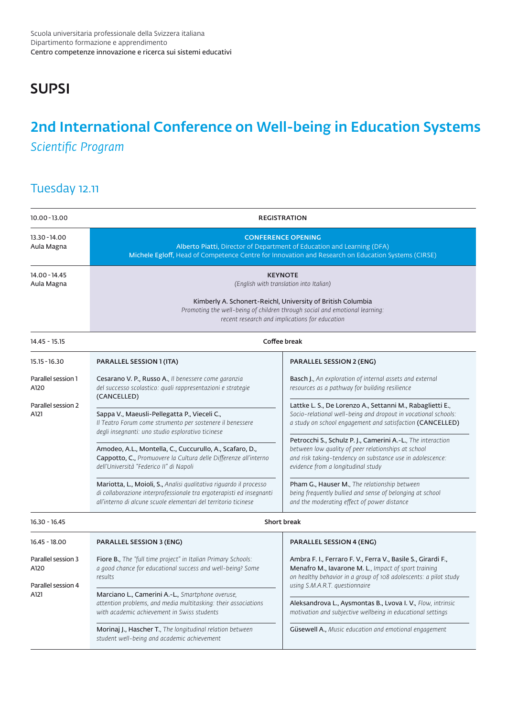## **SUPSI**

# 2nd International Conference on Well-being in Education Systems *Scientific Program*

### Tuesday 12.11

| 10.00 - 13.00                                            | <b>REGISTRATION</b>                                                                                                                                                                                                                                       |                                                                                                                                                                                                                                                                                                                                                          |  |
|----------------------------------------------------------|-----------------------------------------------------------------------------------------------------------------------------------------------------------------------------------------------------------------------------------------------------------|----------------------------------------------------------------------------------------------------------------------------------------------------------------------------------------------------------------------------------------------------------------------------------------------------------------------------------------------------------|--|
| 13.30 - 14.00<br>Aula Magna                              | <b>CONFERENCE OPENING</b><br>Alberto Piatti, Director of Department of Education and Learning (DFA)<br>Michele Egloff, Head of Competence Centre for Innovation and Research on Education Systems (CIRSE)                                                 |                                                                                                                                                                                                                                                                                                                                                          |  |
| 14.00 - 14.45<br>Aula Magna                              | <b>KEYNOTE</b><br>(English with translation into Italian)<br>Kimberly A. Schonert-Reichl, University of British Columbia<br>Promoting the well-being of children through social and emotional learning:<br>recent research and implications for education |                                                                                                                                                                                                                                                                                                                                                          |  |
| 14.45 - 15.15                                            | Coffee break                                                                                                                                                                                                                                              |                                                                                                                                                                                                                                                                                                                                                          |  |
| 15.15 - 16.30                                            | <b>PARALLEL SESSION 1 (ITA)</b>                                                                                                                                                                                                                           | <b>PARALLEL SESSION 2 (ENG)</b>                                                                                                                                                                                                                                                                                                                          |  |
| Parallel session 1<br>A120<br>Parallel session 2<br>A121 | Cesarano V. P., Russo A., Il benessere come garanzia<br>del successo scolastico: quali rappresentazioni e strategie<br>(CANCELLED)                                                                                                                        | <b>Basch J.</b> , An exploration of internal assets and external<br>resources as a pathway for building resilience<br>Lattke L. S., De Lorenzo A., Settanni M., Rabaglietti E.,                                                                                                                                                                          |  |
|                                                          | Sappa V., Maeusli-Pellegatta P., Vieceli C.,<br>Il Teatro Forum come strumento per sostenere il benessere<br>degli insegnanti: uno studio esplorativo ticinese                                                                                            | Socio-relational well-being and dropout in vocational schools:<br>a study on school engagement and satisfaction (CANCELLED)<br>Petrocchi S., Schulz P. J., Camerini A.-L., The interaction                                                                                                                                                               |  |
|                                                          | Amodeo, A.L., Montella, C., Cuccurullo, A., Scafaro, D.,<br>Cappotto, C., Promuovere la Cultura delle Differenze all'interno<br>dell'Università "Federico II" di Napoli                                                                                   | between low quality of peer relationships at school<br>and risk taking-tendency on substance use in adolescence:<br>evidence from a longitudinal study                                                                                                                                                                                                   |  |
|                                                          | Mariotta, L., Moioli, S., Analisi qualitativa riguardo il processo<br>di collaborazione interprofessionale tra ergoterapisti ed insegnanti<br>all'interno di alcune scuole elementari del territorio ticinese                                             | Pham G., Hauser M., The relationship between<br>being frequently bullied and sense of belonging at school<br>and the moderating effect of power distance                                                                                                                                                                                                 |  |
| $16.30 - 16.45$                                          | <b>Short break</b>                                                                                                                                                                                                                                        |                                                                                                                                                                                                                                                                                                                                                          |  |
| $16.45 - 18.00$                                          | <b>PARALLEL SESSION 3 (ENG)</b>                                                                                                                                                                                                                           | <b>PARALLEL SESSION 4 (ENG)</b>                                                                                                                                                                                                                                                                                                                          |  |
| Parallel session 3<br>A120<br>Parallel session 4<br>A121 | Fiore B., The "full time project" in Italian Primary Schools:<br>a good chance for educational success and well-being? Some<br>results                                                                                                                    | Ambra F. I., Ferraro F. V., Ferra V., Basile S., Girardi F.,<br>Menafro M., lavarone M. L., Impact of sport training<br>on healthy behavior in a group of 108 adolescents: a pilot study<br>using S.M.A.R.T. questionnaire<br>Aleksandrova L., Aysmontas B., Lvova I. V., Flow, intrinsic<br>motivation and subjective wellbeing in educational settings |  |
|                                                          | Marciano L., Camerini A.-L., Smartphone overuse,<br>attention problems, and media multitasking: their associations<br>with academic achievement in Swiss students                                                                                         |                                                                                                                                                                                                                                                                                                                                                          |  |
|                                                          | <b>Morinaj J., Hascher T.</b> , The longitudinal relation between<br>student well-being and academic achievement                                                                                                                                          | <b>Güsewell A., Music education and emotional engagement</b>                                                                                                                                                                                                                                                                                             |  |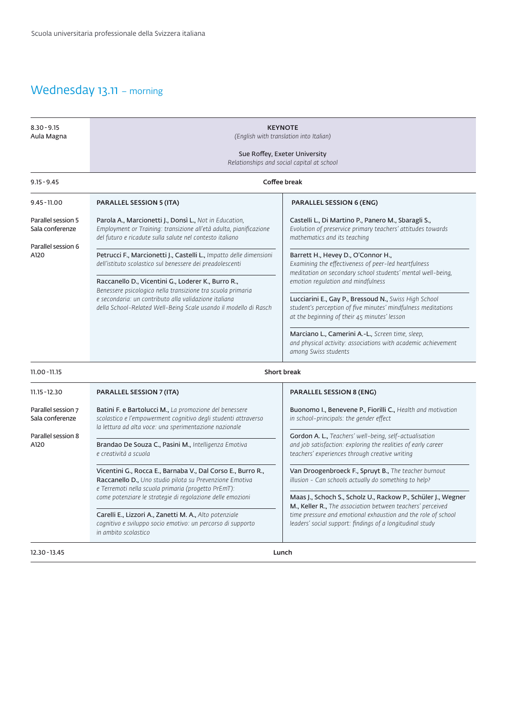### Wednesday 13.11 - morning

| $8.30 - 9.15$<br>Aula Magna                                         | <b>KEYNOTE</b><br>(English with translation into Italian)<br>Sue Roffey, Exeter University<br>Relationships and social capital at school                                                                                                       |                                                                                                                                                                                                                                                          |  |
|---------------------------------------------------------------------|------------------------------------------------------------------------------------------------------------------------------------------------------------------------------------------------------------------------------------------------|----------------------------------------------------------------------------------------------------------------------------------------------------------------------------------------------------------------------------------------------------------|--|
| $9.15 - 9.45$                                                       | Coffee break                                                                                                                                                                                                                                   |                                                                                                                                                                                                                                                          |  |
| $9.45 - 11.00$                                                      | <b>PARALLEL SESSION 5 (ITA)</b>                                                                                                                                                                                                                | <b>PARALLEL SESSION 6 (ENG)</b>                                                                                                                                                                                                                          |  |
| Parallel session 5<br>Sala conferenze<br>Parallel session 6<br>A120 | Parola A., Marcionetti J., Donsì L., Not in Education,<br>Employment or Training: transizione all'età adulta, pianificazione<br>del futuro e ricadute sulla salute nel contesto italiano                                                       | Castelli L., Di Martino P., Panero M., Sbaragli S.,<br>Evolution of preservice primary teachers' attitudes towards<br>mathematics and its teaching                                                                                                       |  |
|                                                                     | Petrucci F., Marcionetti J., Castelli L., Impatto delle dimensioni<br>dell'istituto scolastico sul benessere dei preadolescenti                                                                                                                | Barrett H., Hevey D., O'Connor H.,<br>Examining the effectiveness of peer-led heartfulness<br>meditation on secondary school students' mental well-being,<br>emotion regulation and mindfulness                                                          |  |
|                                                                     | Raccanello D., Vicentini G., Loderer K., Burro R.,<br>Benessere psicologico nella transizione tra scuola primaria<br>e secondaria: un contributo alla validazione italiana<br>della School-Related Well-Being Scale usando il modello di Rasch |                                                                                                                                                                                                                                                          |  |
|                                                                     |                                                                                                                                                                                                                                                | Lucciarini E., Gay P., Bressoud N., Swiss High School<br>student's perception of five minutes' mindfulness meditations<br>at the beginning of their 45 minutes' lesson                                                                                   |  |
|                                                                     |                                                                                                                                                                                                                                                | Marciano L., Camerini A.-L., Screen time, sleep,<br>and physical activity: associations with academic achievement<br>among Swiss students                                                                                                                |  |
| 11.00 - 11.15                                                       |                                                                                                                                                                                                                                                | <b>Short break</b>                                                                                                                                                                                                                                       |  |
| 11.15 - 12.30                                                       | <b>PARALLEL SESSION 7 (ITA)</b>                                                                                                                                                                                                                | <b>PARALLEL SESSION 8 (ENG)</b>                                                                                                                                                                                                                          |  |
| Parallel session 7<br>Sala conferenze                               | <b>Batini F. e Bartolucci M., La promozione del benessere</b><br>scolastico e l'empowerment cognitivo degli studenti attraverso<br>la lettura ad alta voce: una sperimentazione nazionale                                                      | <b>Buonomo I., Benevene P., Fiorilli C., Health and motivation</b><br>in school-principals: the gender effect                                                                                                                                            |  |
| Parallel session 8<br>A120                                          | Brandao De Souza C., Pasini M., Intelligenza Emotiva<br>e creatività a scuola                                                                                                                                                                  | Gordon A. L., Teachers' well-being, self-actualisation<br>and job satisfaction: exploring the realities of early career<br>teachers' experiences through creative writing                                                                                |  |
|                                                                     | Vicentini G., Rocca E., Barnaba V., Dal Corso E., Burro R.,<br>Raccanello D., Uno studio pilota su Prevenzione Emotiva<br>e Terremoti nella scuola primaria (progetto PrEmT):<br>come potenziare le strategie di regolazione delle emozioni    | Van Droogenbroeck F., Spruyt B., The teacher burnout<br>illusion - Can schools actually do something to help?                                                                                                                                            |  |
|                                                                     |                                                                                                                                                                                                                                                | Maas J., Schoch S., Scholz U., Rackow P., Schüler J., Wegner<br>M., Keller R., The association between teachers' perceived<br>time pressure and emotional exhaustion and the role of school<br>leaders' social support: findings of a longitudinal study |  |
|                                                                     | Carelli E., Lizzori A., Zanetti M. A., Alto potenziale<br>cognitivo e sviluppo socio emotivo: un percorso di supporto<br>in ambito scolastico                                                                                                  |                                                                                                                                                                                                                                                          |  |
| 12.30 - 13.45                                                       |                                                                                                                                                                                                                                                | Lunch                                                                                                                                                                                                                                                    |  |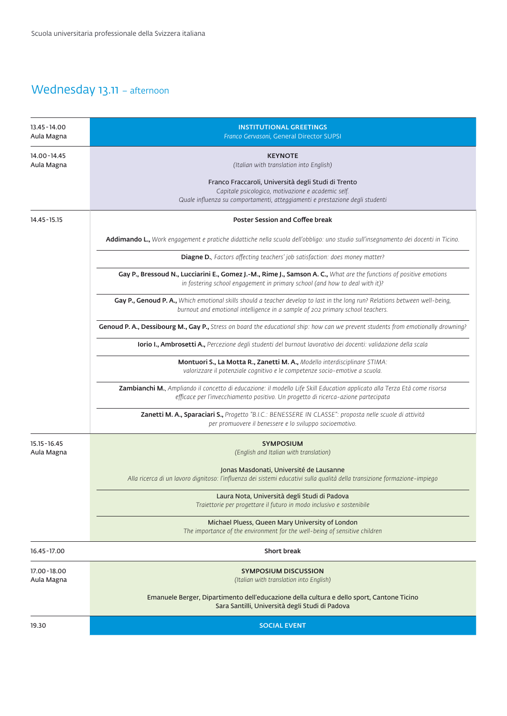#### Wednesday 13.11 – afternoon

| 13.45 - 14.00<br>Aula Magna   | <b>INSTITUTIONAL GREETINGS</b><br>Franco Gervasoni, General Director SUPSI                                                                                                                                     |  |  |
|-------------------------------|----------------------------------------------------------------------------------------------------------------------------------------------------------------------------------------------------------------|--|--|
| 14.00-14.45<br>Aula Magna     | <b>KEYNOTE</b><br>(Italian with translation into English)                                                                                                                                                      |  |  |
|                               | Franco Fraccaroli, Università degli Studi di Trento<br>Capitale psicologico, motivazione e academic self.<br>Quale influenza su comportamenti, atteggiamenti e prestazione degli studenti                      |  |  |
| 14.45 - 15.15                 | <b>Poster Session and Coffee break</b>                                                                                                                                                                         |  |  |
|                               | Addimando L., Work engagement e pratiche didattiche nella scuola dell'obbligo: uno studio sull'insegnamento dei docenti in Ticino.                                                                             |  |  |
|                               | Diagne D., Factors affecting teachers' job satisfaction: does money matter?                                                                                                                                    |  |  |
|                               | Gay P., Bressoud N., Lucciarini E., Gomez J.-M., Rime J., Samson A. C., What are the functions of positive emotions<br>in fostering school engagement in primary school (and how to deal with it)?             |  |  |
|                               | Gay P., Genoud P. A., Which emotional skills should a teacher develop to last in the long run? Relations between well-being,<br>burnout and emotional intelligence in a sample of 202 primary school teachers. |  |  |
|                               | Genoud P. A., Dessibourg M., Gay P., Stress on board the educational ship: how can we prevent students from emotionally drowning?                                                                              |  |  |
|                               | lorio I., Ambrosetti A., Percezione degli studenti del burnout lavorativo dei docenti: validazione della scala                                                                                                 |  |  |
|                               | Montuori S., La Motta R., Zanetti M. A., Modello interdisciplinare STIMA:<br>valorizzare il potenziale cognitivo e le competenze socio-emotive a scuola.                                                       |  |  |
|                               | Zambianchi M., Ampliando il concetto di educazione: il modello Life Skill Education applicato alla Terza Età come risorsa<br>efficace per l'invecchiamento positivo. Un progetto di ricerca-azione partecipata |  |  |
|                               | Zanetti M. A., Sparaciari S., Progetto "B.I.C.: BENESSERE IN CLASSE": proposta nelle scuole di attività<br>per promuovere il benessere e lo sviluppo socioemotivo.                                             |  |  |
| $15.15 - 16.45$<br>Aula Magna | <b>SYMPOSIUM</b><br>(English and Italian with translation)                                                                                                                                                     |  |  |
|                               | Jonas Masdonati, Université de Lausanne<br>Alla ricerca di un lavoro dignitoso: l'influenza dei sistemi educativi sulla qualità della transizione formazione-impiego                                           |  |  |
|                               | Laura Nota, Università degli Studi di Padova<br>Traiettorie per progettare il futuro in modo inclusivo e sostenibile                                                                                           |  |  |
|                               | Michael Pluess, Queen Mary University of London<br>The importance of the environment for the well-being of sensitive children                                                                                  |  |  |
| 16.45 - 17.00                 | <b>Short break</b>                                                                                                                                                                                             |  |  |
| 17.00 - 18.00<br>Aula Magna   | <b>SYMPOSIUM DISCUSSION</b><br>(Italian with translation into English)                                                                                                                                         |  |  |
|                               | Emanuele Berger, Dipartimento dell'educazione della cultura e dello sport, Cantone Ticino<br>Sara Santilli, Università degli Studi di Padova                                                                   |  |  |
| 19.30                         | <b>SOCIAL EVENT</b>                                                                                                                                                                                            |  |  |